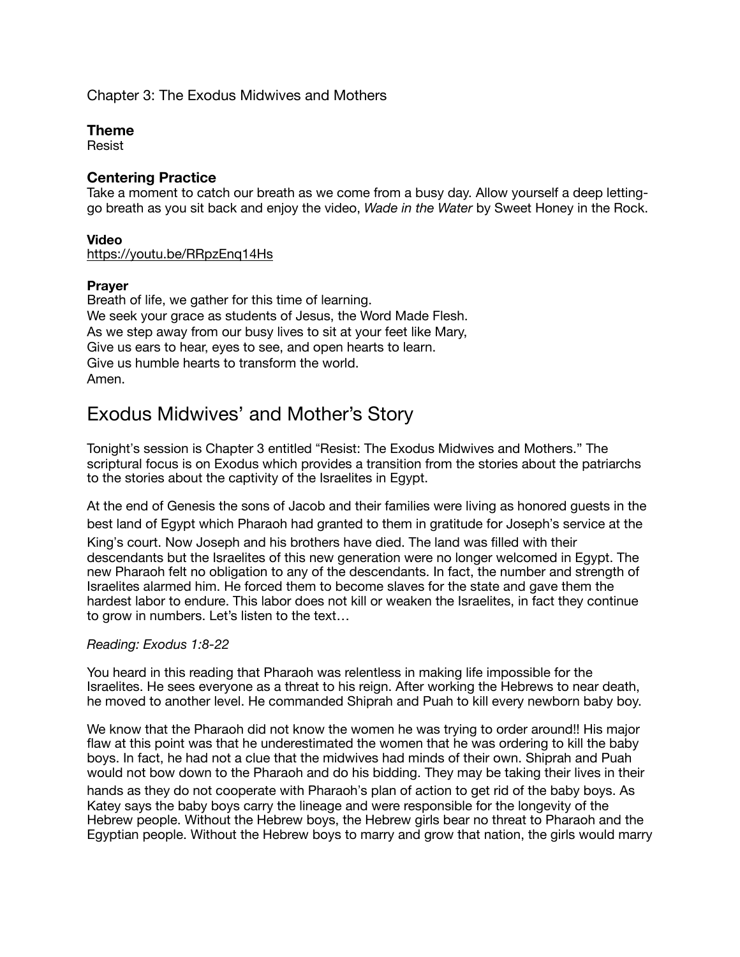## Chapter 3: The Exodus Midwives and Mothers

#### **Theme**

Resist

## **Centering Practice**

Take a moment to catch our breath as we come from a busy day. Allow yourself a deep lettinggo breath as you sit back and enjoy the video, *Wade in the Water* by Sweet Honey in the Rock.

#### **Video**

<https://youtu.be/RRpzEnq14Hs>

#### **Prayer**

Breath of life, we gather for this time of learning. We seek your grace as students of Jesus, the Word Made Flesh. As we step away from our busy lives to sit at your feet like Mary, Give us ears to hear, eyes to see, and open hearts to learn. Give us humble hearts to transform the world. Amen.

# Exodus Midwives' and Mother's Story

Tonight's session is Chapter 3 entitled "Resist: The Exodus Midwives and Mothers." The scriptural focus is on Exodus which provides a transition from the stories about the patriarchs to the stories about the captivity of the Israelites in Egypt.

At the end of Genesis the sons of Jacob and their families were living as honored guests in the best land of Egypt which Pharaoh had granted to them in gratitude for Joseph's service at the

King's court. Now Joseph and his brothers have died. The land was filled with their descendants but the Israelites of this new generation were no longer welcomed in Egypt. The new Pharaoh felt no obligation to any of the descendants. In fact, the number and strength of Israelites alarmed him. He forced them to become slaves for the state and gave them the hardest labor to endure. This labor does not kill or weaken the Israelites, in fact they continue to grow in numbers. Let's listen to the text…

## *Reading: Exodus 1:8-22*

You heard in this reading that Pharaoh was relentless in making life impossible for the Israelites. He sees everyone as a threat to his reign. After working the Hebrews to near death, he moved to another level. He commanded Shiprah and Puah to kill every newborn baby boy.

We know that the Pharaoh did not know the women he was trying to order around!! His major flaw at this point was that he underestimated the women that he was ordering to kill the baby boys. In fact, he had not a clue that the midwives had minds of their own. Shiprah and Puah would not bow down to the Pharaoh and do his bidding. They may be taking their lives in their hands as they do not cooperate with Pharaoh's plan of action to get rid of the baby boys. As Katey says the baby boys carry the lineage and were responsible for the longevity of the Hebrew people. Without the Hebrew boys, the Hebrew girls bear no threat to Pharaoh and the Egyptian people. Without the Hebrew boys to marry and grow that nation, the girls would marry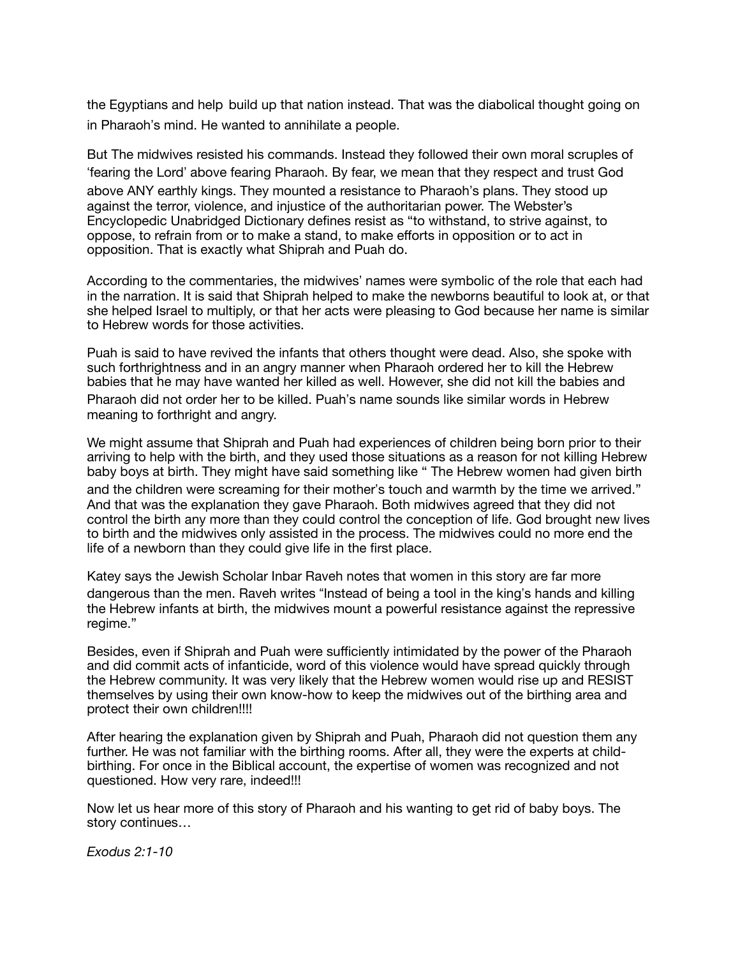the Egyptians and help build up that nation instead. That was the diabolical thought going on in Pharaoh's mind. He wanted to annihilate a people.

But The midwives resisted his commands. Instead they followed their own moral scruples of 'fearing the Lord' above fearing Pharaoh. By fear, we mean that they respect and trust God above ANY earthly kings. They mounted a resistance to Pharaoh's plans. They stood up against the terror, violence, and injustice of the authoritarian power. The Webster's Encyclopedic Unabridged Dictionary defines resist as "to withstand, to strive against, to oppose, to refrain from or to make a stand, to make efforts in opposition or to act in opposition. That is exactly what Shiprah and Puah do.

According to the commentaries, the midwives' names were symbolic of the role that each had in the narration. It is said that Shiprah helped to make the newborns beautiful to look at, or that she helped Israel to multiply, or that her acts were pleasing to God because her name is similar to Hebrew words for those activities.

Puah is said to have revived the infants that others thought were dead. Also, she spoke with such forthrightness and in an angry manner when Pharaoh ordered her to kill the Hebrew babies that he may have wanted her killed as well. However, she did not kill the babies and Pharaoh did not order her to be killed. Puah's name sounds like similar words in Hebrew meaning to forthright and angry.

We might assume that Shiprah and Puah had experiences of children being born prior to their arriving to help with the birth, and they used those situations as a reason for not killing Hebrew baby boys at birth. They might have said something like " The Hebrew women had given birth and the children were screaming for their mother's touch and warmth by the time we arrived." And that was the explanation they gave Pharaoh. Both midwives agreed that they did not control the birth any more than they could control the conception of life. God brought new lives to birth and the midwives only assisted in the process. The midwives could no more end the life of a newborn than they could give life in the first place.

Katey says the Jewish Scholar Inbar Raveh notes that women in this story are far more dangerous than the men. Raveh writes "Instead of being a tool in the king's hands and killing the Hebrew infants at birth, the midwives mount a powerful resistance against the repressive regime."

Besides, even if Shiprah and Puah were sufficiently intimidated by the power of the Pharaoh and did commit acts of infanticide, word of this violence would have spread quickly through the Hebrew community. It was very likely that the Hebrew women would rise up and RESIST themselves by using their own know-how to keep the midwives out of the birthing area and protect their own children!!!!

After hearing the explanation given by Shiprah and Puah, Pharaoh did not question them any further. He was not familiar with the birthing rooms. After all, they were the experts at childbirthing. For once in the Biblical account, the expertise of women was recognized and not questioned. How very rare, indeed!!!

Now let us hear more of this story of Pharaoh and his wanting to get rid of baby boys. The story continues…

*Exodus 2:1-10*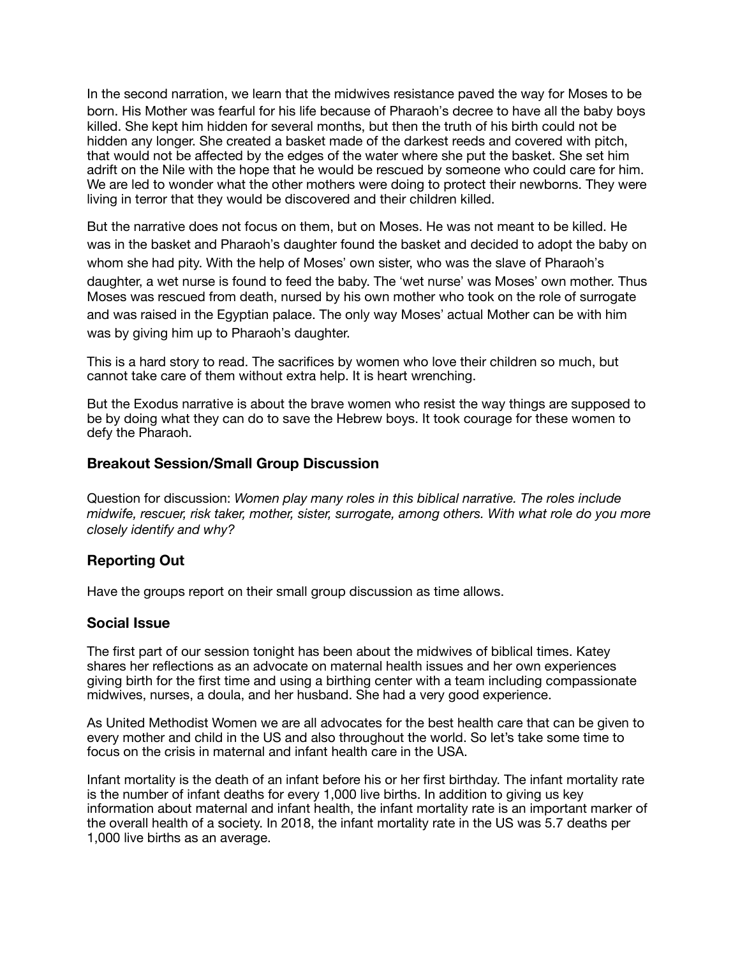In the second narration, we learn that the midwives resistance paved the way for Moses to be born. His Mother was fearful for his life because of Pharaoh's decree to have all the baby boys killed. She kept him hidden for several months, but then the truth of his birth could not be hidden any longer. She created a basket made of the darkest reeds and covered with pitch, that would not be affected by the edges of the water where she put the basket. She set him adrift on the Nile with the hope that he would be rescued by someone who could care for him. We are led to wonder what the other mothers were doing to protect their newborns. They were living in terror that they would be discovered and their children killed.

But the narrative does not focus on them, but on Moses. He was not meant to be killed. He was in the basket and Pharaoh's daughter found the basket and decided to adopt the baby on whom she had pity. With the help of Moses' own sister, who was the slave of Pharaoh's daughter, a wet nurse is found to feed the baby. The 'wet nurse' was Moses' own mother. Thus Moses was rescued from death, nursed by his own mother who took on the role of surrogate and was raised in the Egyptian palace. The only way Moses' actual Mother can be with him was by giving him up to Pharaoh's daughter.

This is a hard story to read. The sacrifices by women who love their children so much, but cannot take care of them without extra help. It is heart wrenching.

But the Exodus narrative is about the brave women who resist the way things are supposed to be by doing what they can do to save the Hebrew boys. It took courage for these women to defy the Pharaoh.

## **Breakout Session/Small Group Discussion**

Question for discussion: *Women play many roles in this biblical narrative. The roles include midwife, rescuer, risk taker, mother, sister, surrogate, among others. With what role do you more closely identify and why?* 

## **Reporting Out**

Have the groups report on their small group discussion as time allows.

## **Social Issue**

The first part of our session tonight has been about the midwives of biblical times. Katey shares her reflections as an advocate on maternal health issues and her own experiences giving birth for the first time and using a birthing center with a team including compassionate midwives, nurses, a doula, and her husband. She had a very good experience.

As United Methodist Women we are all advocates for the best health care that can be given to every mother and child in the US and also throughout the world. So let's take some time to focus on the crisis in maternal and infant health care in the USA.

Infant mortality is the death of an infant before his or her first birthday. The infant mortality rate is the number of infant deaths for every 1,000 live births. In addition to giving us key information about maternal and infant health, the infant mortality rate is an important marker of the overall health of a society. In 2018, the infant mortality rate in the US was 5.7 deaths per 1,000 live births as an average.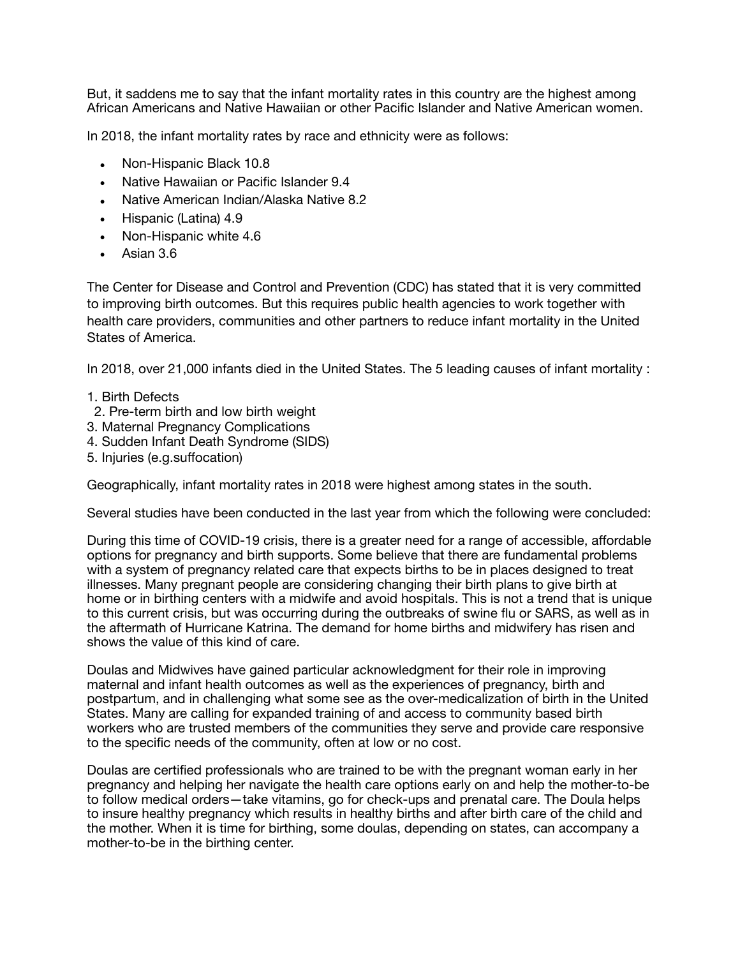But, it saddens me to say that the infant mortality rates in this country are the highest among African Americans and Native Hawaiian or other Pacific Islander and Native American women.

In 2018, the infant mortality rates by race and ethnicity were as follows:

- Non-Hispanic Black 10.8
- Native Hawaiian or Pacific Islander 9.4
- Native American Indian/Alaska Native 8.2
- Hispanic (Latina) 4.9
- Non-Hispanic white 4.6
- Asian 3.6

The Center for Disease and Control and Prevention (CDC) has stated that it is very committed to improving birth outcomes. But this requires public health agencies to work together with health care providers, communities and other partners to reduce infant mortality in the United States of America.

In 2018, over 21,000 infants died in the United States. The 5 leading causes of infant mortality :

- 1. Birth Defects
- 2. Pre-term birth and low birth weight
- 3. Maternal Pregnancy Complications
- 4. Sudden Infant Death Syndrome (SIDS)
- 5. Injuries (e.g.suffocation)

Geographically, infant mortality rates in 2018 were highest among states in the south.

Several studies have been conducted in the last year from which the following were concluded:

During this time of COVID-19 crisis, there is a greater need for a range of accessible, affordable options for pregnancy and birth supports. Some believe that there are fundamental problems with a system of pregnancy related care that expects births to be in places designed to treat illnesses. Many pregnant people are considering changing their birth plans to give birth at home or in birthing centers with a midwife and avoid hospitals. This is not a trend that is unique to this current crisis, but was occurring during the outbreaks of swine flu or SARS, as well as in the aftermath of Hurricane Katrina. The demand for home births and midwifery has risen and shows the value of this kind of care.

Doulas and Midwives have gained particular acknowledgment for their role in improving maternal and infant health outcomes as well as the experiences of pregnancy, birth and postpartum, and in challenging what some see as the over-medicalization of birth in the United States. Many are calling for expanded training of and access to community based birth workers who are trusted members of the communities they serve and provide care responsive to the specific needs of the community, often at low or no cost.

Doulas are certified professionals who are trained to be with the pregnant woman early in her pregnancy and helping her navigate the health care options early on and help the mother-to-be to follow medical orders—take vitamins, go for check-ups and prenatal care. The Doula helps to insure healthy pregnancy which results in healthy births and after birth care of the child and the mother. When it is time for birthing, some doulas, depending on states, can accompany a mother-to-be in the birthing center.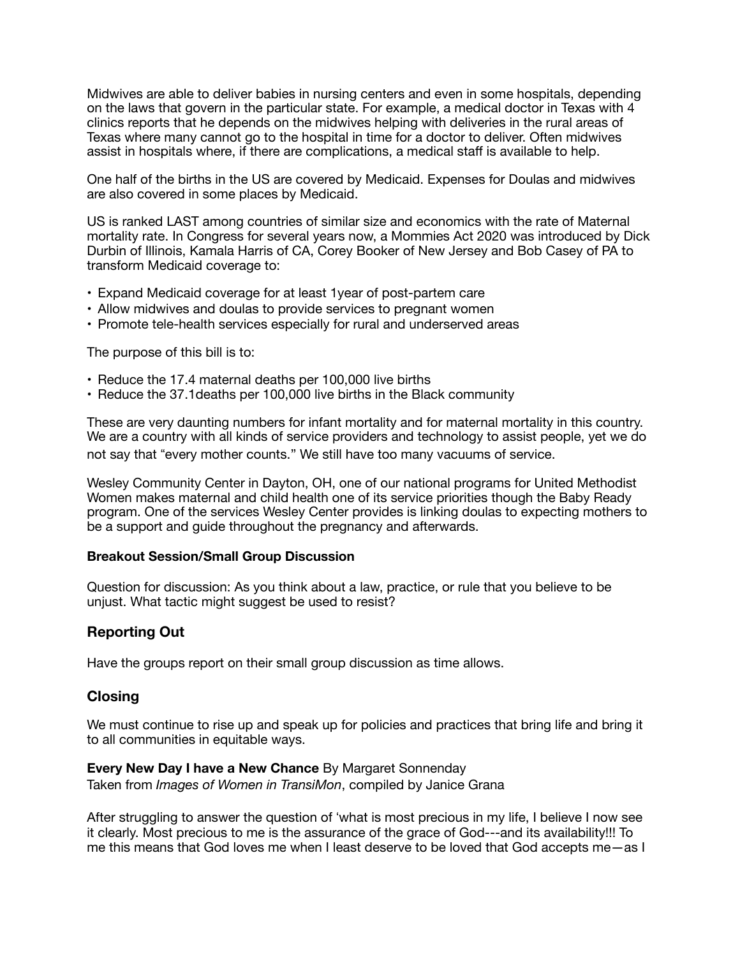Midwives are able to deliver babies in nursing centers and even in some hospitals, depending on the laws that govern in the particular state. For example, a medical doctor in Texas with 4 clinics reports that he depends on the midwives helping with deliveries in the rural areas of Texas where many cannot go to the hospital in time for a doctor to deliver. Often midwives assist in hospitals where, if there are complications, a medical staff is available to help.

One half of the births in the US are covered by Medicaid. Expenses for Doulas and midwives are also covered in some places by Medicaid.

US is ranked LAST among countries of similar size and economics with the rate of Maternal mortality rate. In Congress for several years now, a Mommies Act 2020 was introduced by Dick Durbin of Illinois, Kamala Harris of CA, Corey Booker of New Jersey and Bob Casey of PA to transform Medicaid coverage to:

- Expand Medicaid coverage for at least 1year of post-partem care
- Allow midwives and doulas to provide services to pregnant women
- Promote tele-health services especially for rural and underserved areas

The purpose of this bill is to:

- Reduce the 17.4 maternal deaths per 100,000 live births
- Reduce the 37.1deaths per 100,000 live births in the Black community

These are very daunting numbers for infant mortality and for maternal mortality in this country. We are a country with all kinds of service providers and technology to assist people, yet we do not say that "every mother counts." We still have too many vacuums of service.

Wesley Community Center in Dayton, OH, one of our national programs for United Methodist Women makes maternal and child health one of its service priorities though the Baby Ready program. One of the services Wesley Center provides is linking doulas to expecting mothers to be a support and guide throughout the pregnancy and afterwards.

#### **Breakout Session/Small Group Discussion**

Question for discussion: As you think about a law, practice, or rule that you believe to be unjust. What tactic might suggest be used to resist?

# **Reporting Out**

Have the groups report on their small group discussion as time allows.

## **Closing**

We must continue to rise up and speak up for policies and practices that bring life and bring it to all communities in equitable ways.

#### **Every New Day I have a New Chance** By Margaret Sonnenday

Taken from *Images of Women in TransiMon*, compiled by Janice Grana

After struggling to answer the question of 'what is most precious in my life, I believe I now see it clearly. Most precious to me is the assurance of the grace of God---and its availability!!! To me this means that God loves me when I least deserve to be loved that God accepts me—as I